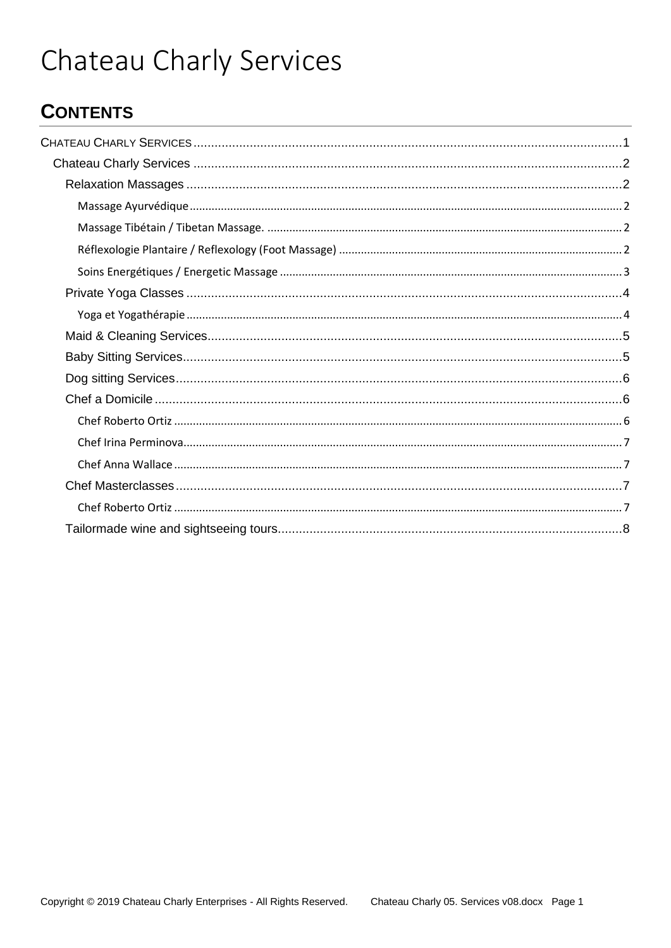# <span id="page-0-0"></span>Chateau Charly Services

## **CONTENTS**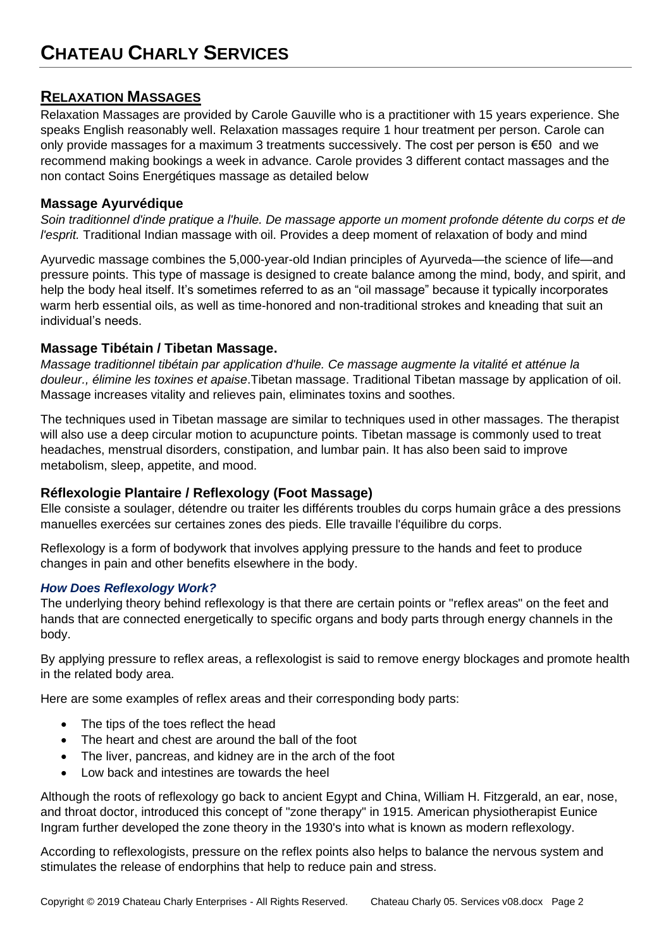## <span id="page-1-1"></span><span id="page-1-0"></span>**RELAXATION MASSAGES**

Relaxation Massages are provided by Carole Gauville who is a practitioner with 15 years experience. She speaks English reasonably well. Relaxation massages require 1 hour treatment per person. Carole can only provide massages for a maximum 3 treatments successively. The cost per person is €50 and we recommend making bookings a week in advance. Carole provides 3 different contact massages and the non contact Soins Energétiques massage as detailed below

## <span id="page-1-2"></span>**Massage Ayurvédique**

*Soin traditionnel d'inde pratique a l'huile. De massage apporte un moment profonde détente du corps et de l'esprit.* Traditional Indian massage with oil. Provides a deep moment of relaxation of body and mind

Ayurvedic massage combines the 5,000-year-old Indian principles of Ayurveda—the science of life—and pressure points. This type of massage is designed to create balance among the mind, body, and spirit, and help the body heal itself. It's sometimes referred to as an "oil massage" because it typically incorporates warm herb essential oils, as well as time-honored and non-traditional strokes and kneading that suit an individual's needs.

## <span id="page-1-3"></span>**Massage Tibétain / Tibetan Massage.**

*Massage traditionnel tibétain par application d'huile. Ce massage augmente la vitalité et atténue la douleur., élimine les toxines et apaise*.Tibetan massage. Traditional Tibetan massage by application of oil. Massage increases vitality and relieves pain, eliminates toxins and soothes.

The techniques used in Tibetan massage are similar to techniques used in other massages. The therapist will also use a deep circular motion to acupuncture points. Tibetan massage is commonly used to treat headaches, menstrual disorders, constipation, and lumbar pain. It has also been said to improve metabolism, sleep, appetite, and mood.

## <span id="page-1-4"></span>**Réflexologie Plantaire / Reflexology (Foot Massage)**

Elle consiste a soulager, détendre ou traiter les différents troubles du corps humain grâce a des pressions manuelles exercées sur certaines zones des pieds. Elle travaille l'équilibre du corps.

Reflexology is a form of bodywork that involves applying pressure to the hands and feet to produce changes in pain and other benefits elsewhere in the body.

## *How Does Reflexology Work?*

The underlying theory behind reflexology is that there are certain points or "reflex areas" on the feet and hands that are connected energetically to specific organs and body parts through energy channels in the body.

By applying pressure to reflex areas, a reflexologist is said to remove energy blockages and promote health in the related body area.

Here are some examples of reflex areas and their corresponding body parts:

- The tips of the toes reflect the head
- The heart and chest are around the ball of the foot
- The liver, pancreas, and kidney are in the arch of the foot
- Low back and intestines are towards the heel

Although the roots of reflexology go back to ancient Egypt and China, William H. Fitzgerald, an ear, nose, and throat doctor, introduced this concept of "zone therapy" in 1915. American physiotherapist Eunice Ingram further developed the zone theory in the 1930's into what is known as modern reflexology.

According to reflexologists, pressure on the reflex points also helps to balance the nervous system and stimulates the release of endorphins that help to reduce pain and stress.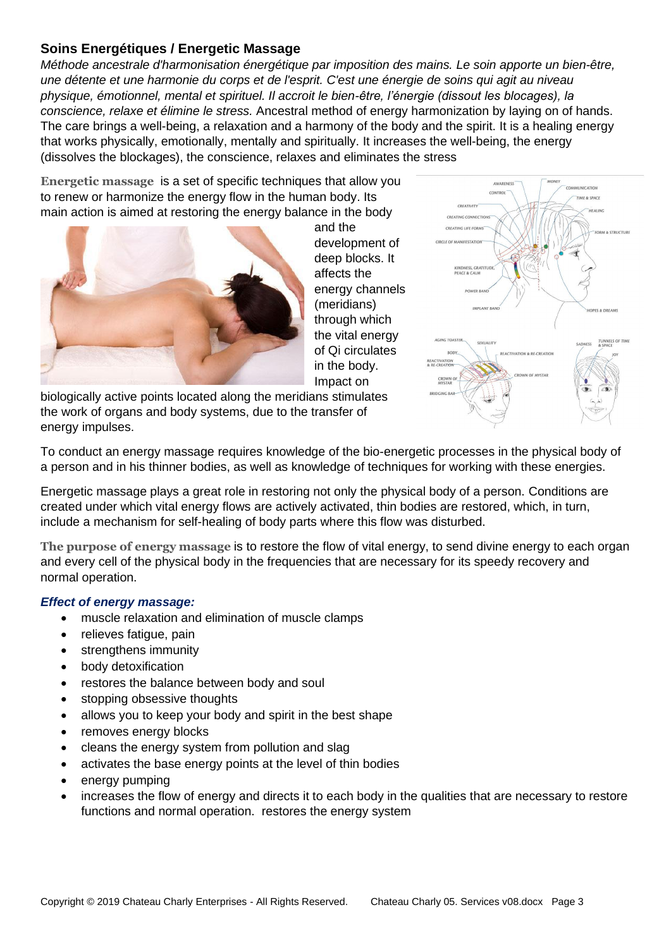## <span id="page-2-0"></span>**Soins Energétiques / Energetic Massage**

*Méthode ancestrale d'harmonisation énergétique par imposition des mains. Le soin apporte un bien-être, une détente et une harmonie du corps et de l'esprit. C'est une énergie de soins qui agit au niveau physique, émotionnel, mental et spirituel. Il accroit le bien-être, l'énergie (dissout les blocages), la conscience, relaxe et élimine le stress.* Ancestral method of energy harmonization by laying on of hands. The care brings a well-being, a relaxation and a harmony of the body and the spirit. It is a healing energy that works physically, emotionally, mentally and spiritually. It increases the well-being, the energy (dissolves the blockages), the conscience, relaxes and eliminates the stress

**Energetic massage** is a set of specific techniques that allow you to renew or harmonize the energy flow in the human body. Its main action is aimed at restoring the energy balance in the body



and the development of deep blocks. It affects the energy channels (meridians) through which the vital energy of Qi circulates in the body. Impact on

biologically active points located along the meridians stimulates the work of organs and body systems, due to the transfer of energy impulses.



To conduct an energy massage requires knowledge of the bio-energetic processes in the physical body of a person and in his thinner bodies, as well as knowledge of techniques for working with these energies.

Energetic massage plays a great role in restoring not only the physical body of a person. Conditions are created under which vital energy flows are actively activated, thin bodies are restored, which, in turn, include a mechanism for self-healing of body parts where this flow was disturbed.

**The purpose of energy massage** is to restore the flow of vital energy, to send divine energy to each organ and every cell of the physical body in the frequencies that are necessary for its speedy recovery and normal operation.

## *Effect of energy massage:*

- muscle relaxation and elimination of muscle clamps
- relieves fatique, pain
- strengthens immunity
- body detoxification
- restores the balance between body and soul
- stopping obsessive thoughts
- allows you to keep your body and spirit in the best shape
- removes energy blocks
- cleans the energy system from pollution and slage
- activates the base energy points at the level of thin bodies
- energy pumping
- increases the flow of energy and directs it to each body in the qualities that are necessary to restore functions and normal operation. restores the energy system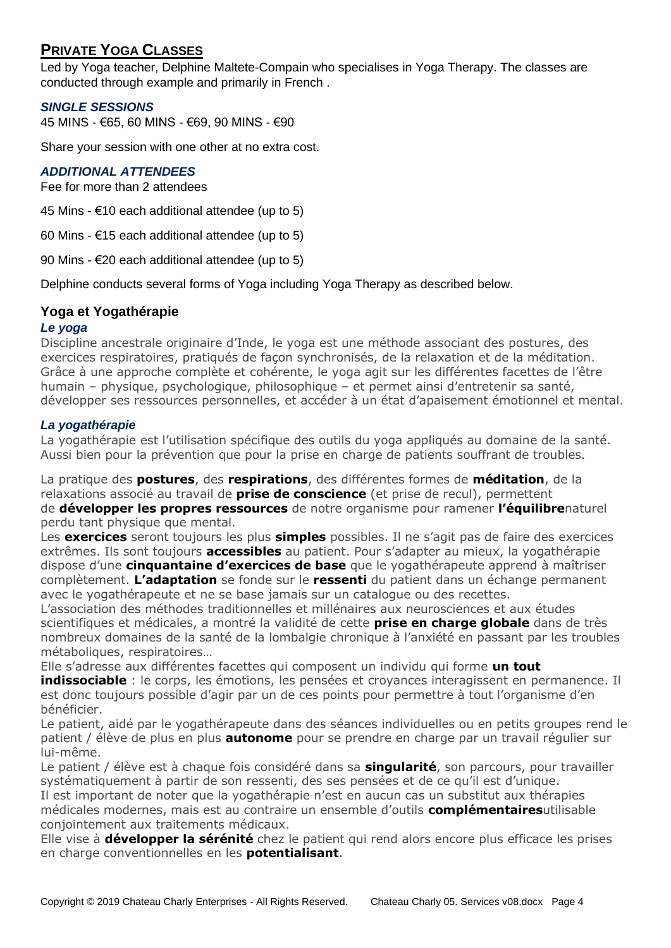## <span id="page-3-0"></span>**PRIVATE YOGA CLASSES**

Led by Yoga teacher, Delphine Maltete-Compain who specialises in Yoga Therapy. The classes are conducted through example and primarily in French .

## *SINGLE SESSIONS*

45 MINS - €65, 60 MINS - €69, 90 MINS - €90

Share your session with one other at no extra cost.

## *ADDITIONAL ATTENDEES*

Fee for more than 2 attendees

45 Mins  $-$  €10 each additional attendee (up to 5)

60 Mins -  $\epsilon$ 15 each additional attendee (up to 5)

90 Mins - €20 each additional attendee (up to 5)

Delphine conducts several forms of Yoga including Yoga Therapy as described below.

## <span id="page-3-1"></span>**Yoga et Yogathérapie**

## *Le yoga*

Discipline ancestrale originaire d'Inde, le yoga est une méthode associant des postures, des exercices respiratoires, pratiqués de façon synchronisés, de la relaxation et de la méditation. Grâce à une approche complète et cohérente, le yoga agit sur les différentes facettes de l'être humain – physique, psychologique, philosophique – et permet ainsi d'entretenir sa santé, développer ses ressources personnelles, et accéder à un état d'apaisement émotionnel et mental.

## *La yogathérapie*

La yogathérapie est l'utilisation spécifique des outils du yoga appliqués au domaine de la santé. Aussi bien pour la prévention que pour la prise en charge de patients souffrant de troubles.

La pratique des **postures**, des **respirations**, des différentes formes de **méditation**, de la relaxations associé au travail de **prise de conscience** (et prise de recul), permettent de **développer les propres ressources** de notre organisme pour ramener **l'équilibre**naturel perdu tant physique que mental.

Les **exercices** seront toujours les plus **simples** possibles. Il ne s'agit pas de faire des exercices extrêmes. Ils sont toujours **accessibles** au patient. Pour s'adapter au mieux, la yogathérapie dispose d'une **cinquantaine d'exercices de base** que le yogathérapeute apprend à maîtriser complètement. **L'adaptation** se fonde sur le **ressenti** du patient dans un échange permanent avec le yogathérapeute et ne se base jamais sur un catalogue ou des recettes.

L'association des méthodes traditionnelles et millénaires aux neurosciences et aux études scientifiques et médicales, a montré la validité de cette **prise en charge globale** dans de très nombreux domaines de la santé de la lombalgie chronique à l'anxiété en passant par les troubles métaboliques, respiratoires…

Elle s'adresse aux différentes facettes qui composent un individu qui forme **un tout** indissociable : le corps, les émotions, les pensées et croyances interagissent en permanence. Il est donc toujours possible d'agir par un de ces points pour permettre à tout l'organisme d'en bénéficier.

Le patient, aidé par le yogathérapeute dans des séances individuelles ou en petits groupes rend le patient / élève de plus en plus **autonome** pour se prendre en charge par un travail régulier sur lui-même.

Le patient / élève est à chaque fois considéré dans sa **singularité**, son parcours, pour travailler systématiquement à partir de son ressenti, des ses pensées et de ce qu'il est d'unique.

Il est important de noter que la yogathérapie n'est en aucun cas un substitut aux thérapies médicales modernes, mais est au contraire un ensemble d'outils **complémentaires**utilisable conjointement aux traitements médicaux.

Elle vise à **développer la sérénité** chez le patient qui rend alors encore plus efficace les prises en charge conventionnelles en les **potentialisant**.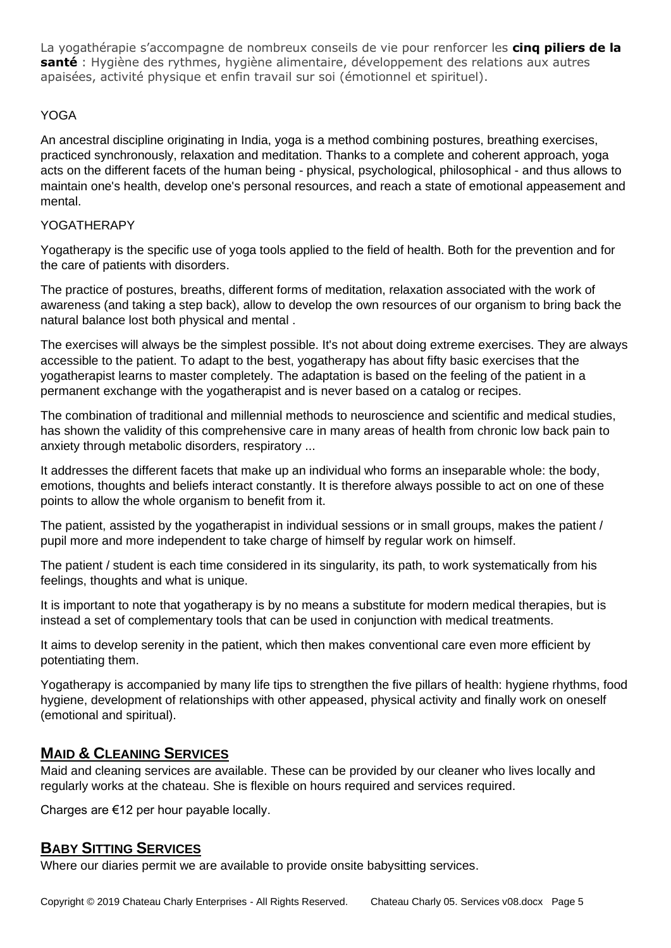La yogathérapie s'accompagne de nombreux conseils de vie pour renforcer les **cinq piliers de la santé** : Hygiène des rythmes, hygiène alimentaire, développement des relations aux autres apaisées, activité physique et enfin travail sur soi (émotionnel et spirituel).

## YOGA

An ancestral discipline originating in India, yoga is a method combining postures, breathing exercises, practiced synchronously, relaxation and meditation. Thanks to a complete and coherent approach, yoga acts on the different facets of the human being - physical, psychological, philosophical - and thus allows to maintain one's health, develop one's personal resources, and reach a state of emotional appeasement and mental.

## YOGATHERAPY

Yogatherapy is the specific use of yoga tools applied to the field of health. Both for the prevention and for the care of patients with disorders.

The practice of postures, breaths, different forms of meditation, relaxation associated with the work of awareness (and taking a step back), allow to develop the own resources of our organism to bring back the natural balance lost both physical and mental .

The exercises will always be the simplest possible. It's not about doing extreme exercises. They are always accessible to the patient. To adapt to the best, yogatherapy has about fifty basic exercises that the yogatherapist learns to master completely. The adaptation is based on the feeling of the patient in a permanent exchange with the yogatherapist and is never based on a catalog or recipes.

The combination of traditional and millennial methods to neuroscience and scientific and medical studies, has shown the validity of this comprehensive care in many areas of health from chronic low back pain to anxiety through metabolic disorders, respiratory ...

It addresses the different facets that make up an individual who forms an inseparable whole: the body, emotions, thoughts and beliefs interact constantly. It is therefore always possible to act on one of these points to allow the whole organism to benefit from it.

The patient, assisted by the yogatherapist in individual sessions or in small groups, makes the patient / pupil more and more independent to take charge of himself by regular work on himself.

The patient / student is each time considered in its singularity, its path, to work systematically from his feelings, thoughts and what is unique.

It is important to note that yogatherapy is by no means a substitute for modern medical therapies, but is instead a set of complementary tools that can be used in conjunction with medical treatments.

It aims to develop serenity in the patient, which then makes conventional care even more efficient by potentiating them.

Yogatherapy is accompanied by many life tips to strengthen the five pillars of health: hygiene rhythms, food hygiene, development of relationships with other appeased, physical activity and finally work on oneself (emotional and spiritual).

## <span id="page-4-0"></span>**MAID & CLEANING SERVICES**

Maid and cleaning services are available. These can be provided by our cleaner who lives locally and regularly works at the chateau. She is flexible on hours required and services required.

Charges are €12 per hour payable locally.

## <span id="page-4-1"></span>**BABY SITTING SERVICES**

Where our diaries permit we are available to provide onsite babysitting services.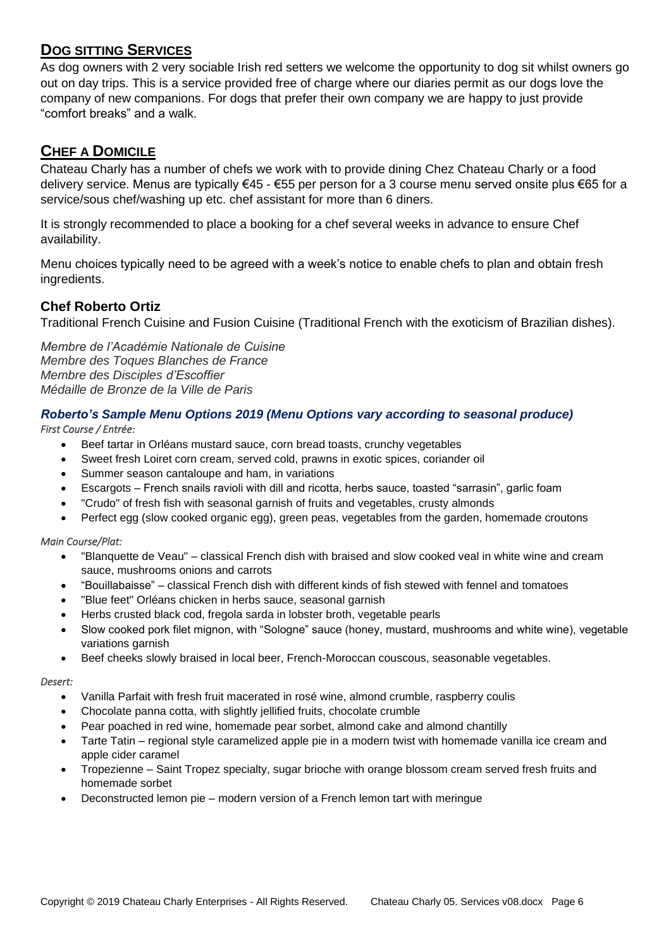## <span id="page-5-0"></span>**DOG SITTING SERVICES**

As dog owners with 2 very sociable Irish red setters we welcome the opportunity to dog sit whilst owners go out on day trips. This is a service provided free of charge where our diaries permit as our dogs love the company of new companions. For dogs that prefer their own company we are happy to just provide "comfort breaks" and a walk.

## <span id="page-5-1"></span>**CHEF A DOMICILE**

Chateau Charly has a number of chefs we work with to provide dining Chez Chateau Charly or a food delivery service. Menus are typically €45 - €55 per person for a 3 course menu served onsite plus €65 for a service/sous chef/washing up etc. chef assistant for more than 6 diners.

It is strongly recommended to place a booking for a chef several weeks in advance to ensure Chef availability.

Menu choices typically need to be agreed with a week's notice to enable chefs to plan and obtain fresh ingredients.

## <span id="page-5-2"></span>**Chef Roberto Ortiz**

Traditional French Cuisine and Fusion Cuisine (Traditional French with the exoticism of Brazilian dishes).

*Membre de l'Académie Nationale de Cuisine Membre des Toques Blanches de France Membre des Disciples d'Escoffier Médaille de Bronze de la Ville de Paris*

## *Roberto's Sample Menu Options 2019 (Menu Options vary according to seasonal produce)*

*First Course / Entrée:* 

- Beef tartar in Orléans mustard sauce, corn bread toasts, crunchy vegetables
- Sweet fresh Loiret corn cream, served cold, prawns in exotic spices, coriander oil
- Summer season cantaloupe and ham, in variations
- Escargots French snails ravioli with dill and ricotta, herbs sauce, toasted "sarrasin", garlic foam
- "Crudo" of fresh fish with seasonal garnish of fruits and vegetables, crusty almonds
- Perfect egg (slow cooked organic egg), green peas, vegetables from the garden, homemade croutons

#### *Main Course/Plat:*

- "Blanquette de Veau" classical French dish with braised and slow cooked veal in white wine and cream sauce, mushrooms onions and carrots
- "Bouillabaisse" classical French dish with different kinds of fish stewed with fennel and tomatoes
- "Blue feet" Orléans chicken in herbs sauce, seasonal garnish
- Herbs crusted black cod, fregola sarda in lobster broth, vegetable pearls
- Slow cooked pork filet mignon, with "Sologne" sauce (honey, mustard, mushrooms and white wine), vegetable variations garnish
- Beef cheeks slowly braised in local beer, French-Moroccan couscous, seasonable vegetables.

#### *Desert:*

- Vanilla Parfait with fresh fruit macerated in rosé wine, almond crumble, raspberry coulis
- Chocolate panna cotta, with slightly jellified fruits, chocolate crumble
- Pear poached in red wine, homemade pear sorbet, almond cake and almond chantilly
- Tarte Tatin regional style caramelized apple pie in a modern twist with homemade vanilla ice cream and apple cider caramel
- Tropezienne Saint Tropez specialty, sugar brioche with orange blossom cream served fresh fruits and homemade sorbet
- Deconstructed lemon pie modern version of a French lemon tart with meringue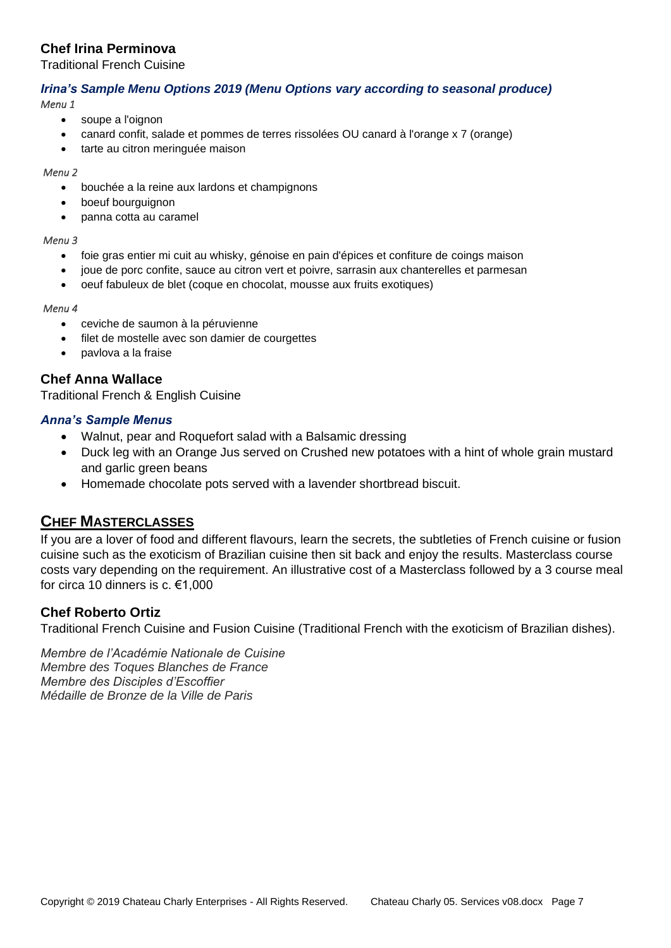## <span id="page-6-0"></span>**Chef Irina Perminova**

Traditional French Cuisine

## *Irina's Sample Menu Options 2019 (Menu Options vary according to seasonal produce)*

*Menu 1* 

- soupe a l'oignon
- canard confit, salade et pommes de terres rissolées OU canard à l'orange x 7 (orange)
- tarte au citron meringuée maison

#### *Menu 2*

- bouchée a la reine aux lardons et champignons
- boeuf bourguignon
- panna cotta au caramel

#### *Menu 3*

- foie gras entier mi cuit au whisky, génoise en pain d'épices et confiture de coings maison
- joue de porc confite, sauce au citron vert et poivre, sarrasin aux chanterelles et parmesan
- oeuf fabuleux de blet (coque en chocolat, mousse aux fruits exotiques)

#### *Menu 4*

- ceviche de saumon à la péruvienne
- filet de mostelle avec son damier de courgettes
- pavlova a la fraise

## <span id="page-6-1"></span>**Chef Anna Wallace**

Traditional French & English Cuisine

## *Anna's Sample Menus*

- Walnut, pear and Roquefort salad with a Balsamic dressing
- Duck leg with an Orange Jus served on Crushed new potatoes with a hint of whole grain mustard and garlic green beans
- Homemade chocolate pots served with a lavender shortbread biscuit.

## <span id="page-6-2"></span>**CHEF MASTERCLASSES**

If you are a lover of food and different flavours, learn the secrets, the subtleties of French cuisine or fusion cuisine such as the exoticism of Brazilian cuisine then sit back and enjoy the results. Masterclass course costs vary depending on the requirement. An illustrative cost of a Masterclass followed by a 3 course meal for circa 10 dinners is c. €1,000

## <span id="page-6-3"></span>**Chef Roberto Ortiz**

Traditional French Cuisine and Fusion Cuisine (Traditional French with the exoticism of Brazilian dishes).

*Membre de l'Académie Nationale de Cuisine Membre des Toques Blanches de France Membre des Disciples d'Escoffier Médaille de Bronze de la Ville de Paris*